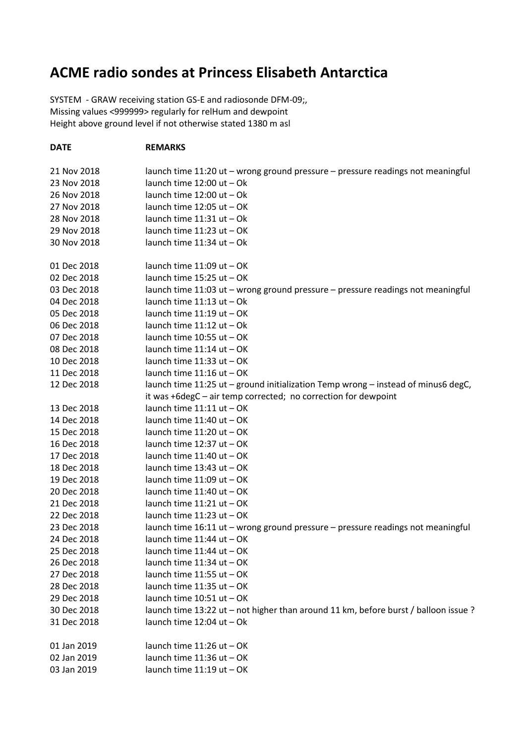## **ACME radio sondes at Princess Elisabeth Antarctica**

SYSTEM - GRAW receiving station GS-E and radiosonde DFM-09;, Missing values <999999> regularly for relHum and dewpoint Height above ground level if not otherwise stated 1380 m asl

## **DATE REMARKS**

| 21 Nov 2018 | launch time 11:20 ut - wrong ground pressure - pressure readings not meaningful     |
|-------------|-------------------------------------------------------------------------------------|
| 23 Nov 2018 | launch time 12:00 ut - Ok                                                           |
| 26 Nov 2018 | launch time 12:00 ut - Ok                                                           |
| 27 Nov 2018 | launch time 12:05 ut - OK                                                           |
| 28 Nov 2018 | launch time 11:31 ut - Ok                                                           |
| 29 Nov 2018 | launch time 11:23 ut - OK                                                           |
| 30 Nov 2018 | launch time 11:34 ut - Ok                                                           |
|             |                                                                                     |
| 01 Dec 2018 | launch time 11:09 ut - OK                                                           |
| 02 Dec 2018 | launch time 15:25 ut - OK                                                           |
| 03 Dec 2018 | launch time 11:03 ut - wrong ground pressure - pressure readings not meaningful     |
| 04 Dec 2018 | launch time $11:13$ ut $-$ Ok                                                       |
| 05 Dec 2018 | launch time 11:19 ut - OK                                                           |
| 06 Dec 2018 | launch time $11:12$ ut $-$ Ok                                                       |
| 07 Dec 2018 | launch time 10:55 ut - OK                                                           |
| 08 Dec 2018 | launch time 11:14 ut - OK                                                           |
| 10 Dec 2018 | launch time 11:33 ut - OK                                                           |
| 11 Dec 2018 | launch time 11:16 ut - OK                                                           |
| 12 Dec 2018 | launch time 11:25 ut - ground initialization Temp wrong - instead of minus6 degC,   |
|             | it was +6degC - air temp corrected; no correction for dewpoint                      |
| 13 Dec 2018 | launch time 11:11 ut - OK                                                           |
| 14 Dec 2018 | launch time 11:40 ut - OK                                                           |
| 15 Dec 2018 | launch time 11:20 ut - OK                                                           |
| 16 Dec 2018 | launch time 12:37 ut - OK                                                           |
| 17 Dec 2018 | launch time 11:40 ut - OK                                                           |
| 18 Dec 2018 | launch time 13:43 ut - OK                                                           |
| 19 Dec 2018 | launch time 11:09 ut - OK                                                           |
| 20 Dec 2018 | launch time 11:40 ut - OK                                                           |
| 21 Dec 2018 | launch time 11:21 ut - OK                                                           |
| 22 Dec 2018 | launch time 11:23 ut - OK                                                           |
| 23 Dec 2018 | launch time 16:11 ut - wrong ground pressure - pressure readings not meaningful     |
| 24 Dec 2018 | launch time 11:44 ut - OK                                                           |
| 25 Dec 2018 | launch time 11:44 ut - OK                                                           |
| 26 Dec 2018 | launch time $11:34$ ut $-$ OK                                                       |
| 27 Dec 2018 | launch time 11:55 ut - OK                                                           |
| 28 Dec 2018 | launch time 11:35 ut - OK                                                           |
| 29 Dec 2018 | launch time 10:51 ut - OK                                                           |
| 30 Dec 2018 | launch time 13:22 ut - not higher than around 11 km, before burst / balloon issue ? |
| 31 Dec 2018 | launch time 12:04 ut - Ok                                                           |
| 01 Jan 2019 | launch time 11:26 ut - OK                                                           |
| 02 Jan 2019 | launch time 11:36 ut - OK                                                           |
| 03 Jan 2019 | launch time 11:19 ut - OK                                                           |
|             |                                                                                     |